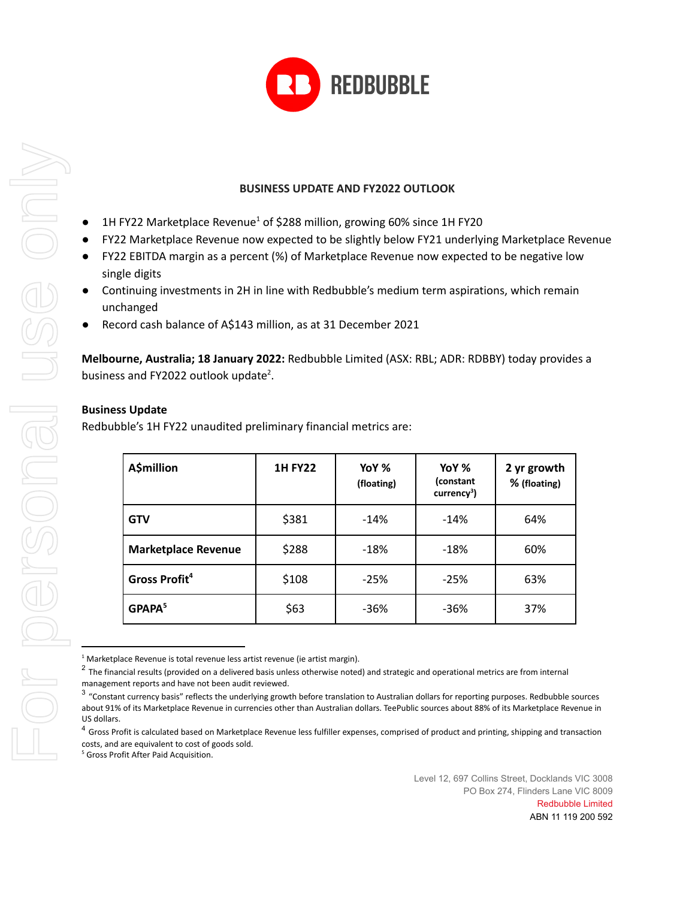

# **BUSINESS UPDATE AND FY2022 OUTLOOK**

- $\bullet$  1H FY22 Marketplace Revenue<sup>1</sup> of \$288 million, growing 60% since 1H FY20
- FY22 Marketplace Revenue now expected to be slightly below FY21 underlying Marketplace Revenue
- FY22 EBITDA margin as a percent (%) of Marketplace Revenue now expected to be negative low single digits
- Continuing investments in 2H in line with Redbubble's medium term aspirations, which remain unchanged
- Record cash balance of A\$143 million, as at 31 December 2021

**Melbourne, Australia; 18 January 2022:** Redbubble Limited (ASX: RBL; ADR: RDBBY) today provides a business and FY2022 outlook update<sup>2</sup>.

# **Business Update**

Redbubble's 1H FY22 unaudited preliminary financial metrics are:

| <b>A\$million</b>          | <b>1H FY22</b> | YoY %<br>(floating) | YoY %<br>(constant<br>$curve3$ ) | 2 yr growth<br>% (floating) |
|----------------------------|----------------|---------------------|----------------------------------|-----------------------------|
| <b>GTV</b>                 | \$381          | $-14%$              | $-14%$                           | 64%                         |
| <b>Marketplace Revenue</b> | \$288          | $-18%$              | $-18%$                           | 60%                         |
| Gross Profit <sup>4</sup>  | \$108          | $-25%$              | $-25%$                           | 63%                         |
| GPAPA <sup>5</sup>         | \$63           | $-36%$              | $-36%$                           | 37%                         |

 $1$  Marketplace Revenue is total revenue less artist revenue (ie artist margin).

 $^2$  The financial results (provided on a delivered basis unless otherwise noted) and strategic and operational metrics are from internal management reports and have not been audit reviewed.

<sup>&</sup>lt;sup>3</sup> "Constant currency basis" reflects the underlying growth before translation to Australian dollars for reporting purposes. Redbubble sources about 91% of its Marketplace Revenue in currencies other than Australian dollars. TeePublic sources about 88% of its Marketplace Revenue in US dollars.

<sup>&</sup>lt;sup>4</sup> Gross Profit is calculated based on Marketplace Revenue less fulfiller expenses, comprised of product and printing, shipping and transaction costs, and are equivalent to cost of goods sold.

<sup>5</sup> Gross Profit After Paid Acquisition.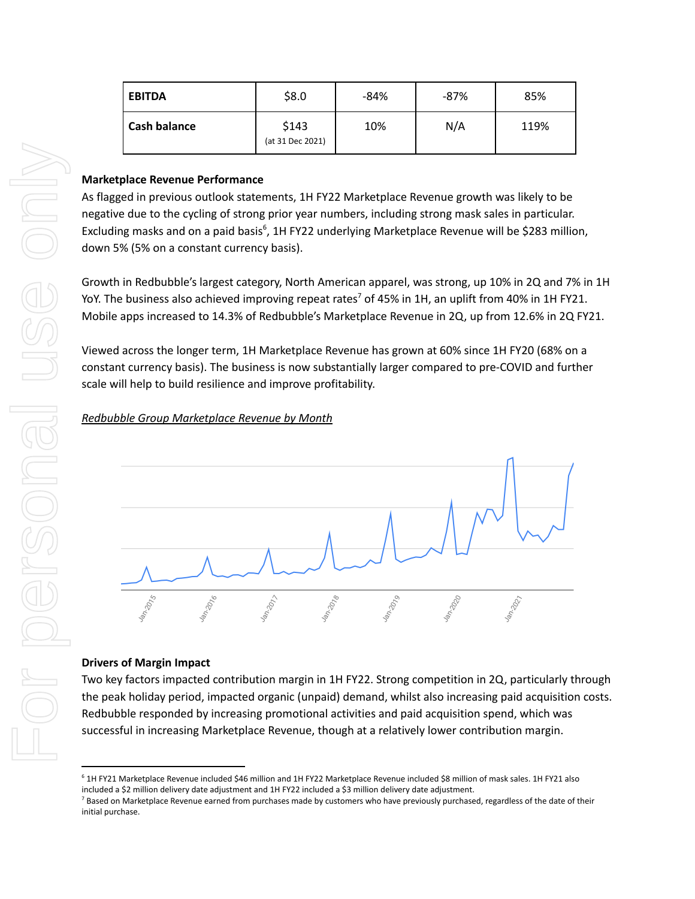| <b>EBITDA</b>       | \$8.0                     | $-84%$ | -87% | 85%  |
|---------------------|---------------------------|--------|------|------|
| <b>Cash balance</b> | \$143<br>(at 31 Dec 2021) | 10%    | N/A  | 119% |

### **Marketplace Revenue Performance**

As flagged in previous outlook statements, 1H FY22 Marketplace Revenue growth was likely to be negative due to the cycling of strong prior year numbers, including strong mask sales in particular. Excluding masks and on a paid basis<sup>6</sup>, 1H FY22 underlying Marketplace Revenue will be \$283 million, down 5% (5% on a constant currency basis).

Growth in Redbubble's largest category, North American apparel, was strong, up 10% in 2Q and 7% in 1H YoY. The business also achieved improving repeat rates<sup>7</sup> of 45% in 1H, an uplift from 40% in 1H FY21. Mobile apps increased to 14.3% of Redbubble's Marketplace Revenue in 2Q, up from 12.6% in 2Q FY21.

Viewed across the longer term, 1H Marketplace Revenue has grown at 60% since 1H FY20 (68% on a constant currency basis). The business is now substantially larger compared to pre-COVID and further scale will help to build resilience and improve profitability.

# *Redbubble Group Marketplace Revenue by Month*



### **Drivers of Margin Impact**

Two key factors impacted contribution margin in 1H FY22. Strong competition in 2Q, particularly through the peak holiday period, impacted organic (unpaid) demand, whilst also increasing paid acquisition costs. Redbubble responded by increasing promotional activities and paid acquisition spend, which was successful in increasing Marketplace Revenue, though at a relatively lower contribution margin.

<sup>6</sup> 1H FY21 Marketplace Revenue included \$46 million and 1H FY22 Marketplace Revenue included \$8 million of mask sales. 1H FY21 also

<sup>&</sup>lt;sup>7</sup> Based on Marketplace Revenue earned from purchases made by customers who have previously purchased, regardless of the date of their initial purchase.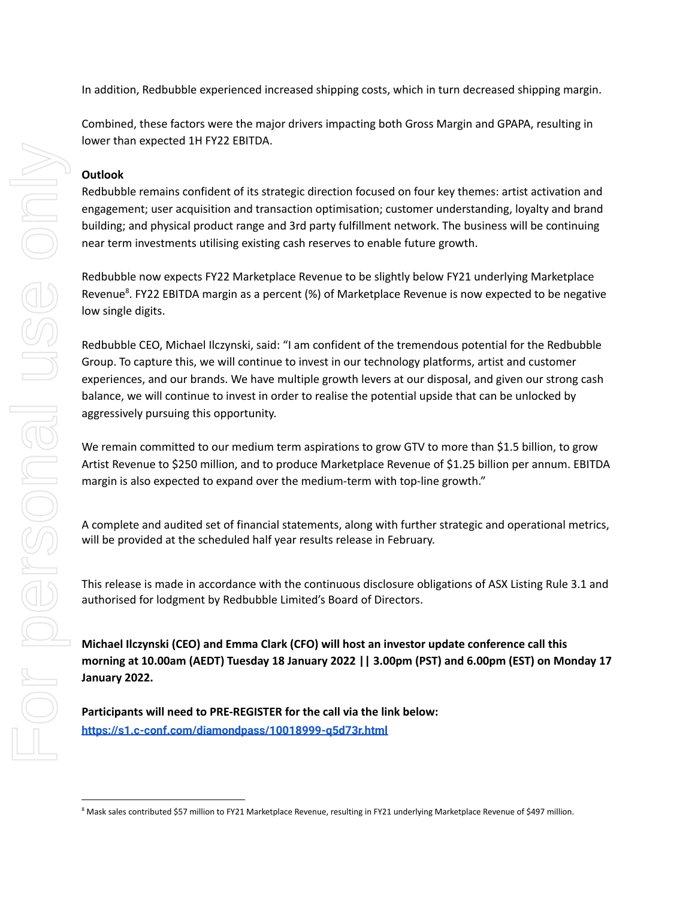In addition, Redbubble experienced increased shipping costs, which in turn decreased shipping margin.

Combined, these factors were the major drivers impacting both Gross Margin and GPAPA, resulting in lower than expected 1H FY22 EBITDA.

### **Outlook**

Redbubble remains confident of its strategic direction focused on four key themes: artist activation and engagement; user acquisition and transaction optimisation; customer understanding, loyalty and brand building; and physical product range and 3rd party fulfillment network. The business will be continuing near term investments utilising existing cash reserves to enable future growth.

Redbubble now expects FY22 Marketplace Revenue to be slightly below FY21 underlying Marketplace Revenue<sup>8</sup>. FY22 EBITDA margin as a percent (%) of Marketplace Revenue is now expected to be negative low single digits.

Redbubble CEO, Michael Ilczynski, said: "I am confident of the tremendous potential for the Redbubble Group. To capture this, we will continue to invest in our technology platforms, artist and customer experiences, and our brands. We have multiple growth levers at our disposal, and given our strong cash balance, we will continue to invest in order to realise the potential upside that can be unlocked by aggressively pursuing this opportunity. **Butlook**<br>
Redubble remains confident of its stategic direction focused on four levy temes artist octivate<br>
Hereculace recent investments to the product map and 3rd party fulfilment network. The business will be contribute

We remain committed to our medium term aspirations to grow GTV to more than \$1.5 billion, to grow Artist Revenue to \$250 million, and to produce Marketplace Revenue of \$1.25 billion per annum. EBITDA margin is also expected to expand over the medium-term with top-line growth."

A complete and audited set of financial statements, along with further strategic and operational metrics, will be provided at the scheduled half year results release in February.

This release is made in accordance with the continuous disclosure obligations of ASX Listing Rule 3.1 and authorised for lodgment by Redbubble Limited's Board of Directors.

**Michael Ilczynski (CEO) and Emma Clark (CFO) will host an investor update conference call this morning at 10.00am (AEDT) Tuesday 18 January 2022 || 3.00pm (PST) and 6.00pm (EST) on Monday 17 January 2022.**

**Participants will need to PRE-REGISTER for the call via the link below: https://s1.c-conf.com/diamondpass/10018999-q5d73r.html**